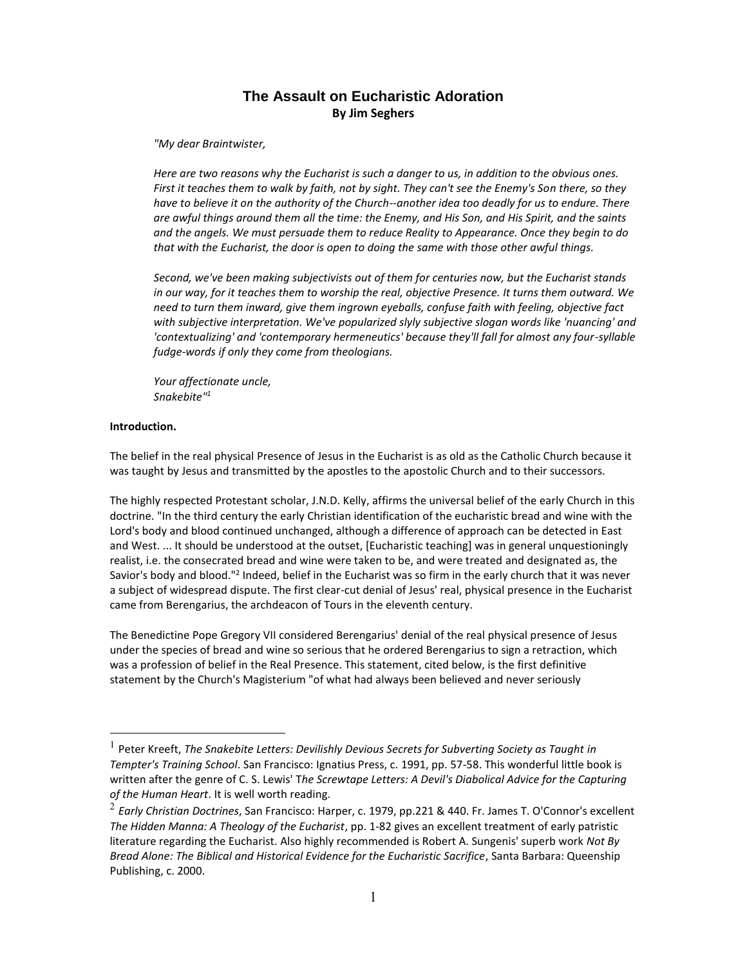# **The Assault on Eucharistic Adoration By Jim Seghers**

*"My dear Braintwister,*

*Here are two reasons why the Eucharist is such a danger to us, in addition to the obvious ones. First it teaches them to walk by faith, not by sight. They can't see the Enemy's Son there, so they have to believe it on the authority of the Church--another idea too deadly for us to endure. There are awful things around them all the time: the Enemy, and His Son, and His Spirit, and the saints and the angels. We must persuade them to reduce Reality to Appearance. Once they begin to do that with the Eucharist, the door is open to doing the same with those other awful things.* 

*Second, we've been making subjectivists out of them for centuries now, but the Eucharist stands in our way, for it teaches them to worship the real, objective Presence. It turns them outward. We need to turn them inward, give them ingrown eyeballs, confuse faith with feeling, objective fact with subjective interpretation. We've popularized slyly subjective slogan words like 'nuancing' and 'contextualizing' and 'contemporary hermeneutics' because they'll fall for almost any four-syllable fudge-words if only they come from theologians.*

*Your affectionate uncle, Snakebite"<sup>1</sup>*

#### **Introduction.**

 $\overline{a}$ 

The belief in the real physical Presence of Jesus in the Eucharist is as old as the Catholic Church because it was taught by Jesus and transmitted by the apostles to the apostolic Church and to their successors.

The highly respected Protestant scholar, J.N.D. Kelly, affirms the universal belief of the early Church in this doctrine. "In the third century the early Christian identification of the eucharistic bread and wine with the Lord's body and blood continued unchanged, although a difference of approach can be detected in East and West. ... It should be understood at the outset, [Eucharistic teaching] was in general unquestioningly realist, i.e. the consecrated bread and wine were taken to be, and were treated and designated as, the Savior's body and blood."<sup>2</sup> Indeed, belief in the Eucharist was so firm in the early church that it was never a subject of widespread dispute. The first clear-cut denial of Jesus' real, physical presence in the Eucharist came from Berengarius, the archdeacon of Tours in the eleventh century.

The Benedictine Pope Gregory VII considered Berengarius' denial of the real physical presence of Jesus under the species of bread and wine so serious that he ordered Berengarius to sign a retraction, which was a profession of belief in the Real Presence. This statement, cited below, is the first definitive statement by the Church's Magisterium "of what had always been believed and never seriously

<sup>&</sup>lt;sup>1</sup> Peter Kreeft, *The Snakebite Letters: Devilishly Devious Secrets for Subverting Society as Taught in Tempter's Training School*. San Francisco: Ignatius Press, c. 1991, pp. 57-58. This wonderful little book is written after the genre of C. S. Lewis' T*he Screwtape Letters: A Devil's Diabolical Advice for the Capturing of the Human Heart*. It is well worth reading.

<sup>2</sup> *Early Christian Doctrines*, San Francisco: Harper, c. 1979, pp.221 & 440. Fr. James T. O'Connor's excellent *The Hidden Manna: A Theology of the Eucharist*, pp. 1-82 gives an excellent treatment of early patristic literature regarding the Eucharist. Also highly recommended is Robert A. Sungenis' superb work *Not By Bread Alone: The Biblical and Historical Evidence for the Eucharistic Sacrifice*, Santa Barbara: Queenship Publishing, c. 2000.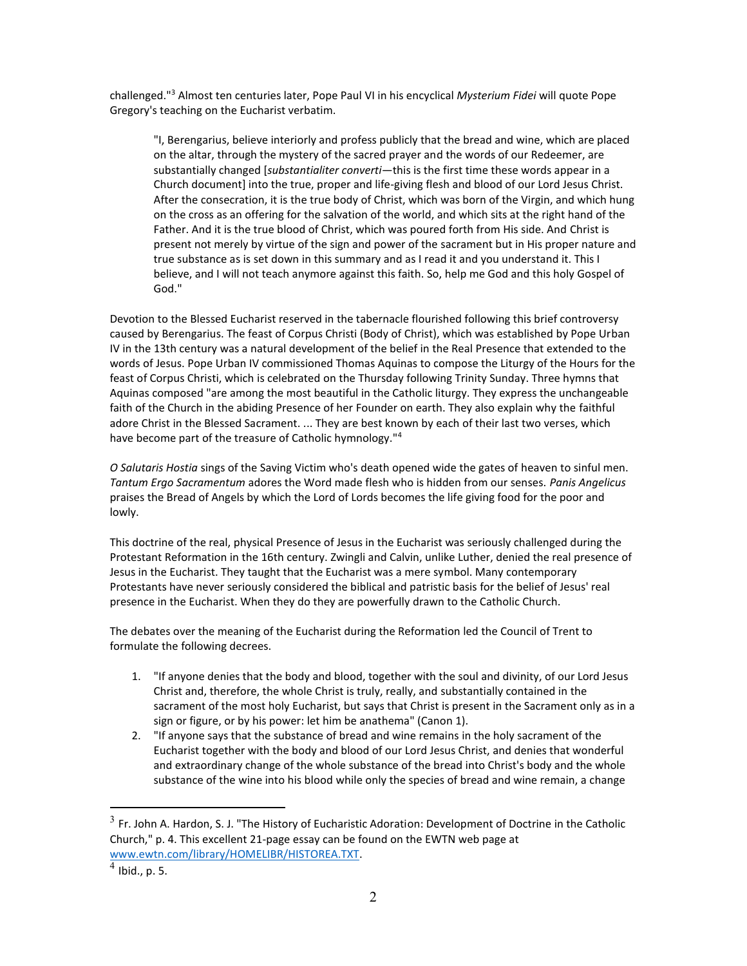challenged."<sup>3</sup> Almost ten centuries later, Pope Paul VI in his encyclical *Mysterium Fidei* will quote Pope Gregory's teaching on the Eucharist verbatim.

"I, Berengarius, believe interiorly and profess publicly that the bread and wine, which are placed on the altar, through the mystery of the sacred prayer and the words of our Redeemer, are substantially changed [*substantialiter converti*—this is the first time these words appear in a Church document] into the true, proper and life-giving flesh and blood of our Lord Jesus Christ. After the consecration, it is the true body of Christ, which was born of the Virgin, and which hung on the cross as an offering for the salvation of the world, and which sits at the right hand of the Father. And it is the true blood of Christ, which was poured forth from His side. And Christ is present not merely by virtue of the sign and power of the sacrament but in His proper nature and true substance as is set down in this summary and as I read it and you understand it. This I believe, and I will not teach anymore against this faith. So, help me God and this holy Gospel of God."

Devotion to the Blessed Eucharist reserved in the tabernacle flourished following this brief controversy caused by Berengarius. The feast of Corpus Christi (Body of Christ), which was established by Pope Urban IV in the 13th century was a natural development of the belief in the Real Presence that extended to the words of Jesus. Pope Urban IV commissioned Thomas Aquinas to compose the Liturgy of the Hours for the feast of Corpus Christi, which is celebrated on the Thursday following Trinity Sunday. Three hymns that Aquinas composed "are among the most beautiful in the Catholic liturgy. They express the unchangeable faith of the Church in the abiding Presence of her Founder on earth. They also explain why the faithful adore Christ in the Blessed Sacrament. ... They are best known by each of their last two verses, which have become part of the treasure of Catholic hymnology."<sup>4</sup>

*O Salutaris Hostia* sings of the Saving Victim who's death opened wide the gates of heaven to sinful men. *Tantum Ergo Sacramentum* adores the Word made flesh who is hidden from our senses. *Panis Angelicus* praises the Bread of Angels by which the Lord of Lords becomes the life giving food for the poor and lowly.

This doctrine of the real, physical Presence of Jesus in the Eucharist was seriously challenged during the Protestant Reformation in the 16th century. Zwingli and Calvin, unlike Luther, denied the real presence of Jesus in the Eucharist. They taught that the Eucharist was a mere symbol. Many contemporary Protestants have never seriously considered the biblical and patristic basis for the belief of Jesus' real presence in the Eucharist. When they do they are powerfully drawn to the Catholic Church.

The debates over the meaning of the Eucharist during the Reformation led the Council of Trent to formulate the following decrees.

- 1. "If anyone denies that the body and blood, together with the soul and divinity, of our Lord Jesus Christ and, therefore, the whole Christ is truly, really, and substantially contained in the sacrament of the most holy Eucharist, but says that Christ is present in the Sacrament only as in a sign or figure, or by his power: let him be anathema" (Canon 1).
- 2. "If anyone says that the substance of bread and wine remains in the holy sacrament of the Eucharist together with the body and blood of our Lord Jesus Christ, and denies that wonderful and extraordinary change of the whole substance of the bread into Christ's body and the whole substance of the wine into his blood while only the species of bread and wine remain, a change

 $^3$  Fr. John A. Hardon, S. J. "The History of Eucharistic Adoration: Development of Doctrine in the Catholic Church," p. 4. This excellent 21-page essay can be found on the EWTN web page at [www.ewtn.com/library/HOMELIBR/HISTOREA.TXT.](www.ewtn.com/library/HOMELIBR/HISTOREA.TXT)

 $<sup>4</sup>$  Ibid., p. 5.</sup>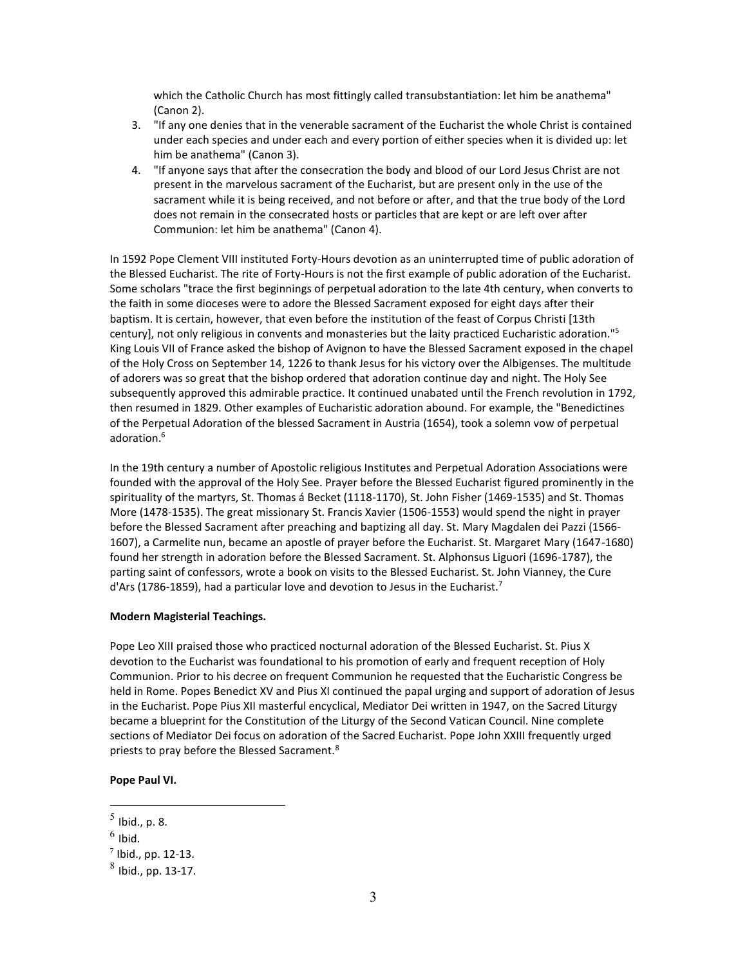which the Catholic Church has most fittingly called transubstantiation: let him be anathema" (Canon 2).

- 3. "If any one denies that in the venerable sacrament of the Eucharist the whole Christ is contained under each species and under each and every portion of either species when it is divided up: let him be anathema" (Canon 3).
- 4. "If anyone says that after the consecration the body and blood of our Lord Jesus Christ are not present in the marvelous sacrament of the Eucharist, but are present only in the use of the sacrament while it is being received, and not before or after, and that the true body of the Lord does not remain in the consecrated hosts or particles that are kept or are left over after Communion: let him be anathema" (Canon 4).

In 1592 Pope Clement VIII instituted Forty-Hours devotion as an uninterrupted time of public adoration of the Blessed Eucharist. The rite of Forty-Hours is not the first example of public adoration of the Eucharist. Some scholars "trace the first beginnings of perpetual adoration to the late 4th century, when converts to the faith in some dioceses were to adore the Blessed Sacrament exposed for eight days after their baptism. It is certain, however, that even before the institution of the feast of Corpus Christi [13th century], not only religious in convents and monasteries but the laity practiced Eucharistic adoration."<sup>5</sup> King Louis VII of France asked the bishop of Avignon to have the Blessed Sacrament exposed in the chapel of the Holy Cross on September 14, 1226 to thank Jesus for his victory over the Albigenses. The multitude of adorers was so great that the bishop ordered that adoration continue day and night. The Holy See subsequently approved this admirable practice. It continued unabated until the French revolution in 1792, then resumed in 1829. Other examples of Eucharistic adoration abound. For example, the "Benedictines of the Perpetual Adoration of the blessed Sacrament in Austria (1654), took a solemn vow of perpetual adoration.<sup>6</sup>

In the 19th century a number of Apostolic religious Institutes and Perpetual Adoration Associations were founded with the approval of the Holy See. Prayer before the Blessed Eucharist figured prominently in the spirituality of the martyrs, St. Thomas á Becket (1118-1170), St. John Fisher (1469-1535) and St. Thomas More (1478-1535). The great missionary St. Francis Xavier (1506-1553) would spend the night in prayer before the Blessed Sacrament after preaching and baptizing all day. St. Mary Magdalen dei Pazzi (1566- 1607), a Carmelite nun, became an apostle of prayer before the Eucharist. St. Margaret Mary (1647-1680) found her strength in adoration before the Blessed Sacrament. St. Alphonsus Liguori (1696-1787), the parting saint of confessors, wrote a book on visits to the Blessed Eucharist. St. John Vianney, the Cure d'Ars (1786-1859), had a particular love and devotion to Jesus in the Eucharist.<sup>7</sup>

#### **Modern Magisterial Teachings.**

Pope Leo XIII praised those who practiced nocturnal adoration of the Blessed Eucharist. St. Pius X devotion to the Eucharist was foundational to his promotion of early and frequent reception of Holy Communion. Prior to his decree on frequent Communion he requested that the Eucharistic Congress be held in Rome. Popes Benedict XV and Pius XI continued the papal urging and support of adoration of Jesus in the Eucharist. Pope Pius XII masterful encyclical, Mediator Dei written in 1947, on the Sacred Liturgy became a blueprint for the Constitution of the Liturgy of the Second Vatican Council. Nine complete sections of Mediator Dei focus on adoration of the Sacred Eucharist. Pope John XXIII frequently urged priests to pray before the Blessed Sacrament.<sup>8</sup>

**Pope Paul VI.**

 $^5$  Ibid., p. 8.

 $^6$  Ibid.

 $<sup>7</sup>$  Ibid., pp. 12-13.</sup>

 $^8$  Ibid., pp. 13-17.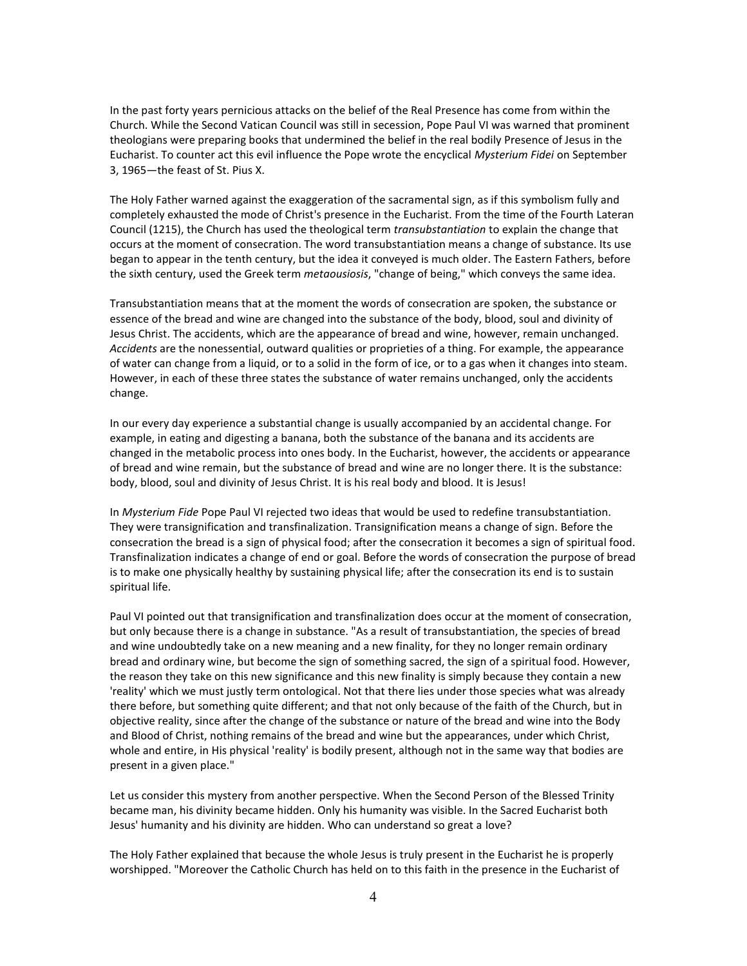In the past forty years pernicious attacks on the belief of the Real Presence has come from within the Church. While the Second Vatican Council was still in secession, Pope Paul VI was warned that prominent theologians were preparing books that undermined the belief in the real bodily Presence of Jesus in the Eucharist. To counter act this evil influence the Pope wrote the encyclical *Mysterium Fidei* on September 3, 1965—the feast of St. Pius X.

The Holy Father warned against the exaggeration of the sacramental sign, as if this symbolism fully and completely exhausted the mode of Christ's presence in the Eucharist. From the time of the Fourth Lateran Council (1215), the Church has used the theological term *transubstantiation* to explain the change that occurs at the moment of consecration. The word transubstantiation means a change of substance. Its use began to appear in the tenth century, but the idea it conveyed is much older. The Eastern Fathers, before the sixth century, used the Greek term *metaousiosis*, "change of being," which conveys the same idea.

Transubstantiation means that at the moment the words of consecration are spoken, the substance or essence of the bread and wine are changed into the substance of the body, blood, soul and divinity of Jesus Christ. The accidents, which are the appearance of bread and wine, however, remain unchanged. *Accidents* are the nonessential, outward qualities or proprieties of a thing. For example, the appearance of water can change from a liquid, or to a solid in the form of ice, or to a gas when it changes into steam. However, in each of these three states the substance of water remains unchanged, only the accidents change.

In our every day experience a substantial change is usually accompanied by an accidental change. For example, in eating and digesting a banana, both the substance of the banana and its accidents are changed in the metabolic process into ones body. In the Eucharist, however, the accidents or appearance of bread and wine remain, but the substance of bread and wine are no longer there. It is the substance: body, blood, soul and divinity of Jesus Christ. It is his real body and blood. It is Jesus!

In *Mysterium Fide* Pope Paul VI rejected two ideas that would be used to redefine transubstantiation. They were transignification and transfinalization. Transignification means a change of sign. Before the consecration the bread is a sign of physical food; after the consecration it becomes a sign of spiritual food. Transfinalization indicates a change of end or goal. Before the words of consecration the purpose of bread is to make one physically healthy by sustaining physical life; after the consecration its end is to sustain spiritual life.

Paul VI pointed out that transignification and transfinalization does occur at the moment of consecration, but only because there is a change in substance. "As a result of transubstantiation, the species of bread and wine undoubtedly take on a new meaning and a new finality, for they no longer remain ordinary bread and ordinary wine, but become the sign of something sacred, the sign of a spiritual food. However, the reason they take on this new significance and this new finality is simply because they contain a new 'reality' which we must justly term ontological. Not that there lies under those species what was already there before, but something quite different; and that not only because of the faith of the Church, but in objective reality, since after the change of the substance or nature of the bread and wine into the Body and Blood of Christ, nothing remains of the bread and wine but the appearances, under which Christ, whole and entire, in His physical 'reality' is bodily present, although not in the same way that bodies are present in a given place."

Let us consider this mystery from another perspective. When the Second Person of the Blessed Trinity became man, his divinity became hidden. Only his humanity was visible. In the Sacred Eucharist both Jesus' humanity and his divinity are hidden. Who can understand so great a love?

The Holy Father explained that because the whole Jesus is truly present in the Eucharist he is properly worshipped. "Moreover the Catholic Church has held on to this faith in the presence in the Eucharist of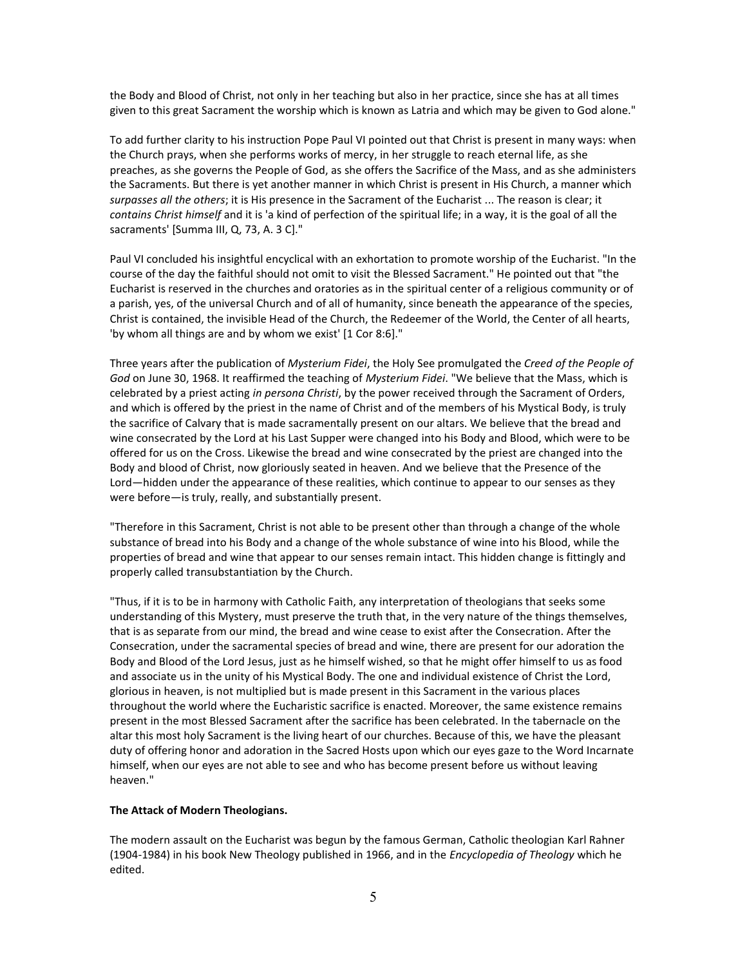the Body and Blood of Christ, not only in her teaching but also in her practice, since she has at all times given to this great Sacrament the worship which is known as Latria and which may be given to God alone."

To add further clarity to his instruction Pope Paul VI pointed out that Christ is present in many ways: when the Church prays, when she performs works of mercy, in her struggle to reach eternal life, as she preaches, as she governs the People of God, as she offers the Sacrifice of the Mass, and as she administers the Sacraments. But there is yet another manner in which Christ is present in His Church, a manner which *surpasses all the others*; it is His presence in the Sacrament of the Eucharist ... The reason is clear; it *contains Christ himself* and it is 'a kind of perfection of the spiritual life; in a way, it is the goal of all the sacraments' [Summa III, Q, 73, A. 3 C]."

Paul VI concluded his insightful encyclical with an exhortation to promote worship of the Eucharist. "In the course of the day the faithful should not omit to visit the Blessed Sacrament." He pointed out that "the Eucharist is reserved in the churches and oratories as in the spiritual center of a religious community or of a parish, yes, of the universal Church and of all of humanity, since beneath the appearance of the species, Christ is contained, the invisible Head of the Church, the Redeemer of the World, the Center of all hearts, 'by whom all things are and by whom we exist' [1 Cor 8:6]."

Three years after the publication of *Mysterium Fidei*, the Holy See promulgated the *Creed of the People of God* on June 30, 1968. It reaffirmed the teaching of *Mysterium Fidei*. "We believe that the Mass, which is celebrated by a priest acting *in persona Christi*, by the power received through the Sacrament of Orders, and which is offered by the priest in the name of Christ and of the members of his Mystical Body, is truly the sacrifice of Calvary that is made sacramentally present on our altars. We believe that the bread and wine consecrated by the Lord at his Last Supper were changed into his Body and Blood, which were to be offered for us on the Cross. Likewise the bread and wine consecrated by the priest are changed into the Body and blood of Christ, now gloriously seated in heaven. And we believe that the Presence of the Lord—hidden under the appearance of these realities, which continue to appear to our senses as they were before—is truly, really, and substantially present.

"Therefore in this Sacrament, Christ is not able to be present other than through a change of the whole substance of bread into his Body and a change of the whole substance of wine into his Blood, while the properties of bread and wine that appear to our senses remain intact. This hidden change is fittingly and properly called transubstantiation by the Church.

"Thus, if it is to be in harmony with Catholic Faith, any interpretation of theologians that seeks some understanding of this Mystery, must preserve the truth that, in the very nature of the things themselves, that is as separate from our mind, the bread and wine cease to exist after the Consecration. After the Consecration, under the sacramental species of bread and wine, there are present for our adoration the Body and Blood of the Lord Jesus, just as he himself wished, so that he might offer himself to us as food and associate us in the unity of his Mystical Body. The one and individual existence of Christ the Lord, glorious in heaven, is not multiplied but is made present in this Sacrament in the various places throughout the world where the Eucharistic sacrifice is enacted. Moreover, the same existence remains present in the most Blessed Sacrament after the sacrifice has been celebrated. In the tabernacle on the altar this most holy Sacrament is the living heart of our churches. Because of this, we have the pleasant duty of offering honor and adoration in the Sacred Hosts upon which our eyes gaze to the Word Incarnate himself, when our eyes are not able to see and who has become present before us without leaving heaven."

#### **The Attack of Modern Theologians.**

The modern assault on the Eucharist was begun by the famous German, Catholic theologian Karl Rahner (1904-1984) in his book New Theology published in 1966, and in the *Encyclopedia of Theology* which he edited.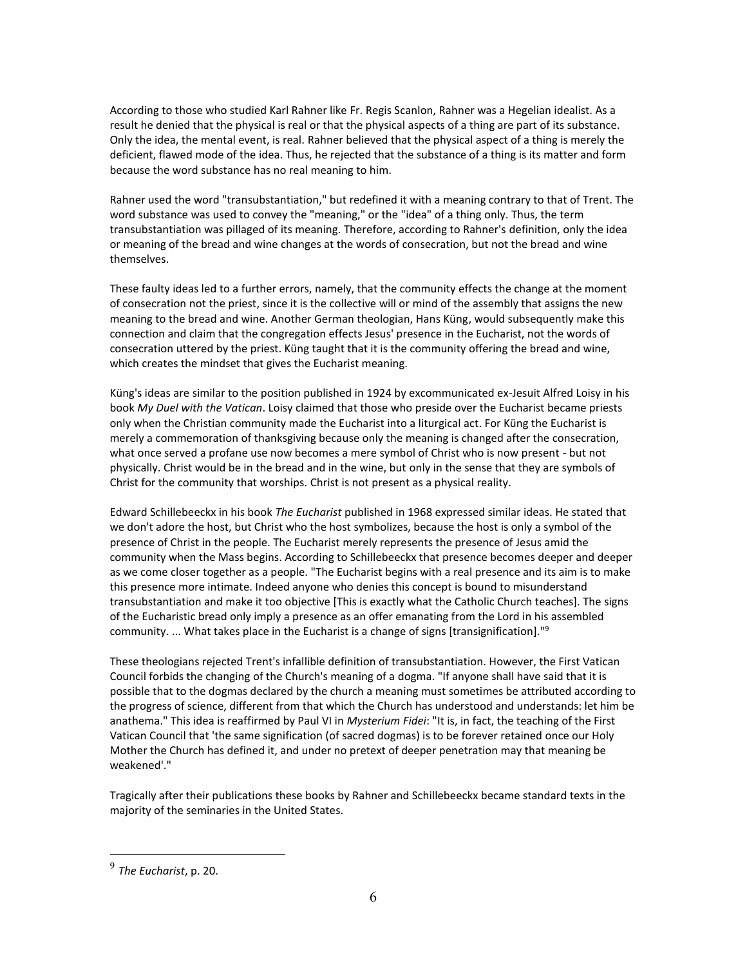According to those who studied Karl Rahner like Fr. Regis Scanlon, Rahner was a Hegelian idealist. As a result he denied that the physical is real or that the physical aspects of a thing are part of its substance. Only the idea, the mental event, is real. Rahner believed that the physical aspect of a thing is merely the deficient, flawed mode of the idea. Thus, he rejected that the substance of a thing is its matter and form because the word substance has no real meaning to him.

Rahner used the word "transubstantiation," but redefined it with a meaning contrary to that of Trent. The word substance was used to convey the "meaning," or the "idea" of a thing only. Thus, the term transubstantiation was pillaged of its meaning. Therefore, according to Rahner's definition, only the idea or meaning of the bread and wine changes at the words of consecration, but not the bread and wine themselves.

These faulty ideas led to a further errors, namely, that the community effects the change at the moment of consecration not the priest, since it is the collective will or mind of the assembly that assigns the new meaning to the bread and wine. Another German theologian, Hans Küng, would subsequently make this connection and claim that the congregation effects Jesus' presence in the Eucharist, not the words of consecration uttered by the priest. Küng taught that it is the community offering the bread and wine, which creates the mindset that gives the Eucharist meaning.

Küng's ideas are similar to the position published in 1924 by excommunicated ex-Jesuit Alfred Loisy in his book *My Duel with the Vatican*. Loisy claimed that those who preside over the Eucharist became priests only when the Christian community made the Eucharist into a liturgical act. For Küng the Eucharist is merely a commemoration of thanksgiving because only the meaning is changed after the consecration, what once served a profane use now becomes a mere symbol of Christ who is now present - but not physically. Christ would be in the bread and in the wine, but only in the sense that they are symbols of Christ for the community that worships. Christ is not present as a physical reality.

Edward Schillebeeckx in his book *The Eucharist* published in 1968 expressed similar ideas. He stated that we don't adore the host, but Christ who the host symbolizes, because the host is only a symbol of the presence of Christ in the people. The Eucharist merely represents the presence of Jesus amid the community when the Mass begins. According to Schillebeeckx that presence becomes deeper and deeper as we come closer together as a people. "The Eucharist begins with a real presence and its aim is to make this presence more intimate. Indeed anyone who denies this concept is bound to misunderstand transubstantiation and make it too objective [This is exactly what the Catholic Church teaches]. The signs of the Eucharistic bread only imply a presence as an offer emanating from the Lord in his assembled community. ... What takes place in the Eucharist is a change of signs [transignification]."<sup>9</sup>

These theologians rejected Trent's infallible definition of transubstantiation. However, the First Vatican Council forbids the changing of the Church's meaning of a dogma. "If anyone shall have said that it is possible that to the dogmas declared by the church a meaning must sometimes be attributed according to the progress of science, different from that which the Church has understood and understands: let him be anathema." This idea is reaffirmed by Paul VI in *Mysterium Fidei*: "It is, in fact, the teaching of the First Vatican Council that 'the same signification (of sacred dogmas) is to be forever retained once our Holy Mother the Church has defined it, and under no pretext of deeper penetration may that meaning be weakened'."

Tragically after their publications these books by Rahner and Schillebeeckx became standard texts in the majority of the seminaries in the United States.

<sup>9</sup> *The Eucharist*, p. 20.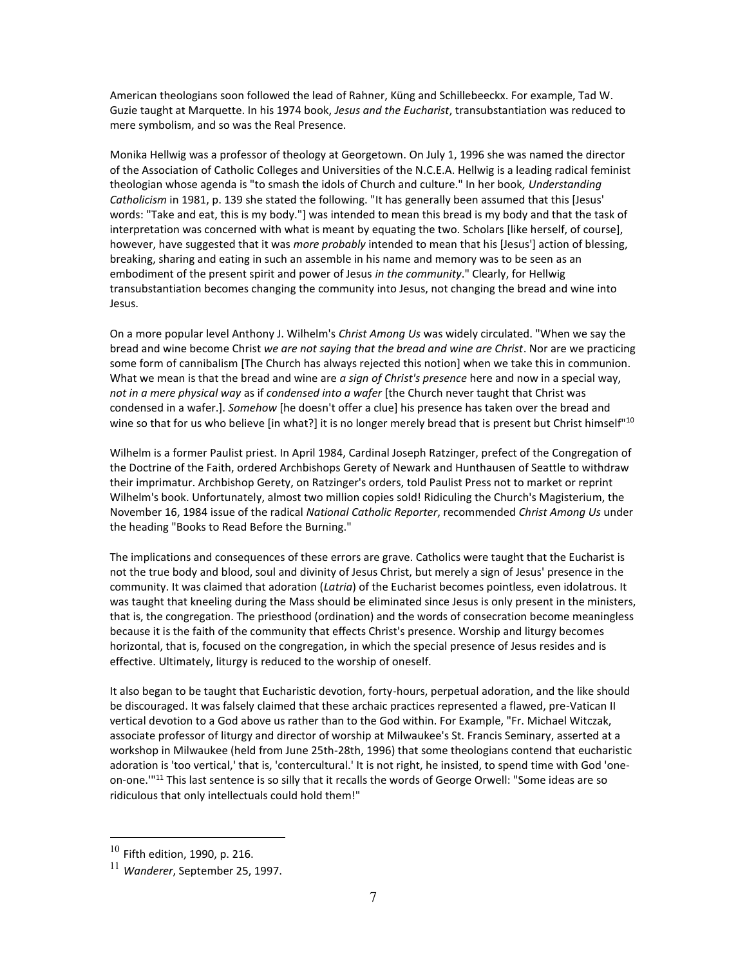American theologians soon followed the lead of Rahner, Küng and Schillebeeckx. For example, Tad W. Guzie taught at Marquette. In his 1974 book, *Jesus and the Eucharist*, transubstantiation was reduced to mere symbolism, and so was the Real Presence.

Monika Hellwig was a professor of theology at Georgetown. On July 1, 1996 she was named the director of the Association of Catholic Colleges and Universities of the N.C.E.A. Hellwig is a leading radical feminist theologian whose agenda is "to smash the idols of Church and culture." In her book*, Understanding Catholicism* in 1981, p. 139 she stated the following. "It has generally been assumed that this [Jesus' words: "Take and eat, this is my body."] was intended to mean this bread is my body and that the task of interpretation was concerned with what is meant by equating the two. Scholars [like herself, of course], however, have suggested that it was *more probably* intended to mean that his [Jesus'] action of blessing, breaking, sharing and eating in such an assemble in his name and memory was to be seen as an embodiment of the present spirit and power of Jesus *in the community*." Clearly, for Hellwig transubstantiation becomes changing the community into Jesus, not changing the bread and wine into Jesus.

On a more popular level Anthony J. Wilhelm's *Christ Among Us* was widely circulated. "When we say the bread and wine become Christ *we are not saying that the bread and wine are Christ*. Nor are we practicing some form of cannibalism [The Church has always rejected this notion] when we take this in communion. What we mean is that the bread and wine are *a sign of Christ's presence* here and now in a special way, *not in a mere physical way* as if *condensed into a wafer* [the Church never taught that Christ was condensed in a wafer.]. *Somehow* [he doesn't offer a clue] his presence has taken over the bread and wine so that for us who believe [in what?] it is no longer merely bread that is present but Christ himself"<sup>10</sup>

Wilhelm is a former Paulist priest. In April 1984, Cardinal Joseph Ratzinger, prefect of the Congregation of the Doctrine of the Faith, ordered Archbishops Gerety of Newark and Hunthausen of Seattle to withdraw their imprimatur. Archbishop Gerety, on Ratzinger's orders, told Paulist Press not to market or reprint Wilhelm's book. Unfortunately, almost two million copies sold! Ridiculing the Church's Magisterium, the November 16, 1984 issue of the radical *National Catholic Reporter*, recommended *Christ Among Us* under the heading "Books to Read Before the Burning."

The implications and consequences of these errors are grave. Catholics were taught that the Eucharist is not the true body and blood, soul and divinity of Jesus Christ, but merely a sign of Jesus' presence in the community. It was claimed that adoration (*Latria*) of the Eucharist becomes pointless, even idolatrous. It was taught that kneeling during the Mass should be eliminated since Jesus is only present in the ministers, that is, the congregation. The priesthood (ordination) and the words of consecration become meaningless because it is the faith of the community that effects Christ's presence. Worship and liturgy becomes horizontal, that is, focused on the congregation, in which the special presence of Jesus resides and is effective. Ultimately, liturgy is reduced to the worship of oneself.

It also began to be taught that Eucharistic devotion, forty-hours, perpetual adoration, and the like should be discouraged. It was falsely claimed that these archaic practices represented a flawed, pre-Vatican II vertical devotion to a God above us rather than to the God within. For Example, "Fr. Michael Witczak, associate professor of liturgy and director of worship at Milwaukee's St. Francis Seminary, asserted at a workshop in Milwaukee (held from June 25th-28th, 1996) that some theologians contend that eucharistic adoration is 'too vertical,' that is, 'contercultural.' It is not right, he insisted, to spend time with God 'oneon-one.'"<sup>11</sup> This last sentence is so silly that it recalls the words of George Orwell: "Some ideas are so ridiculous that only intellectuals could hold them!"

 $10$  Fifth edition, 1990, p. 216.

<sup>11</sup> *Wanderer*, September 25, 1997.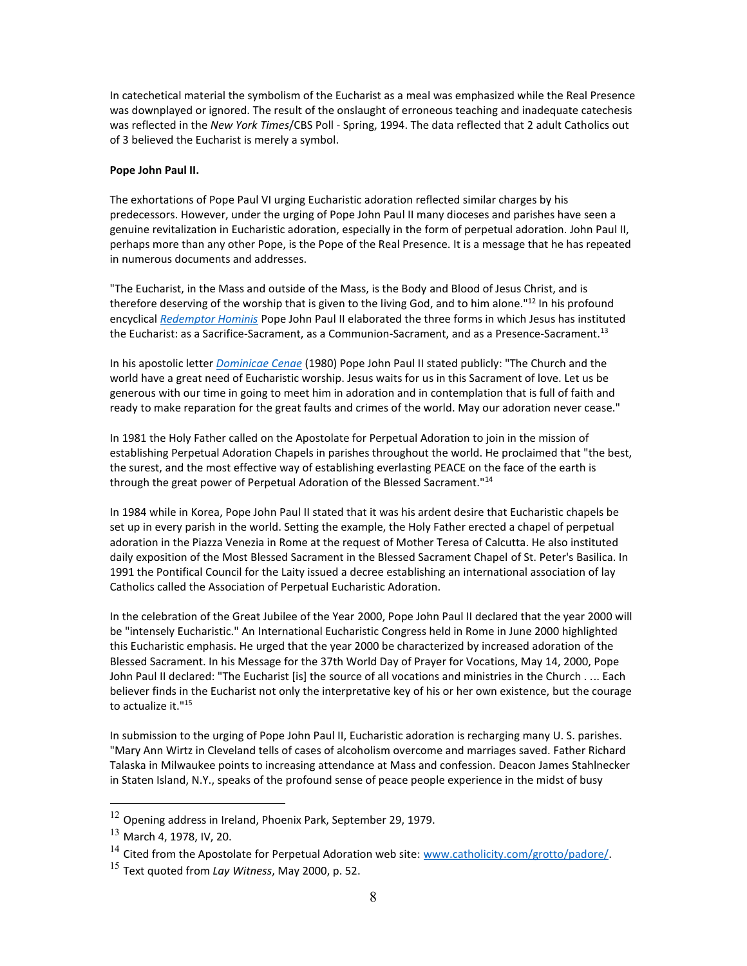In catechetical material the symbolism of the Eucharist as a meal was emphasized while the Real Presence was downplayed or ignored. The result of the onslaught of erroneous teaching and inadequate catechesis was reflected in the *New York Times*/CBS Poll - Spring, 1994. The data reflected that 2 adult Catholics out of 3 believed the Eucharist is merely a symbol.

#### **Pope John Paul II.**

The exhortations of Pope Paul VI urging Eucharistic adoration reflected similar charges by his predecessors. However, under the urging of Pope John Paul II many dioceses and parishes have seen a genuine revitalization in Eucharistic adoration, especially in the form of perpetual adoration. John Paul II, perhaps more than any other Pope, is the Pope of the Real Presence. It is a message that he has repeated in numerous documents and addresses.

"The Eucharist, in the Mass and outside of the Mass, is the Body and Blood of Jesus Christ, and is therefore deserving of the worship that is given to the living God, and to him alone."<sup>12</sup> In his profound encyclical *[Redemptor Hominis](http://www.scborromeo.org/docs/REDEMPTOR_HOMINIS.pdf)* Pope John Paul II elaborated the three forms in which Jesus has instituted the Eucharist: as a Sacrifice-Sacrament, as a Communion-Sacrament, and as a Presence-Sacrament.<sup>13</sup>

In his apostolic letter *[Dominicae Cenae](http://www.scborromeo.org/docs/dominicae_canae.pdf)* (1980) Pope John Paul II stated publicly: "The Church and the world have a great need of Eucharistic worship. Jesus waits for us in this Sacrament of love. Let us be generous with our time in going to meet him in adoration and in contemplation that is full of faith and ready to make reparation for the great faults and crimes of the world. May our adoration never cease."

In 1981 the Holy Father called on the Apostolate for Perpetual Adoration to join in the mission of establishing Perpetual Adoration Chapels in parishes throughout the world. He proclaimed that "the best, the surest, and the most effective way of establishing everlasting PEACE on the face of the earth is through the great power of Perpetual Adoration of the Blessed Sacrament."<sup>14</sup>

In 1984 while in Korea, Pope John Paul II stated that it was his ardent desire that Eucharistic chapels be set up in every parish in the world. Setting the example, the Holy Father erected a chapel of perpetual adoration in the Piazza Venezia in Rome at the request of Mother Teresa of Calcutta. He also instituted daily exposition of the Most Blessed Sacrament in the Blessed Sacrament Chapel of St. Peter's Basilica. In 1991 the Pontifical Council for the Laity issued a decree establishing an international association of lay Catholics called the Association of Perpetual Eucharistic Adoration.

In the celebration of the Great Jubilee of the Year 2000, Pope John Paul II declared that the year 2000 will be "intensely Eucharistic." An International Eucharistic Congress held in Rome in June 2000 highlighted this Eucharistic emphasis. He urged that the year 2000 be characterized by increased adoration of the Blessed Sacrament. In his Message for the 37th World Day of Prayer for Vocations, May 14, 2000, Pope John Paul II declared: "The Eucharist [is] the source of all vocations and ministries in the Church . ... Each believer finds in the Eucharist not only the interpretative key of his or her own existence, but the courage to actualize it."<sup>15</sup>

In submission to the urging of Pope John Paul II, Eucharistic adoration is recharging many U. S. parishes. "Mary Ann Wirtz in Cleveland tells of cases of alcoholism overcome and marriages saved. Father Richard Talaska in Milwaukee points to increasing attendance at Mass and confession. Deacon James Stahlnecker in Staten Island, N.Y., speaks of the profound sense of peace people experience in the midst of busy

 $12$  Opening address in Ireland, Phoenix Park, September 29, 1979.

<sup>13</sup> March 4, 1978, IV, 20.

<sup>&</sup>lt;sup>14</sup> Cited from the Apostolate for Perpetual Adoration web site: [www.catholicity.com/grotto/padore/.](www.catholicity.com/grotto/padore/)

<sup>15</sup> Text quoted from *Lay Witness*, May 2000, p. 52.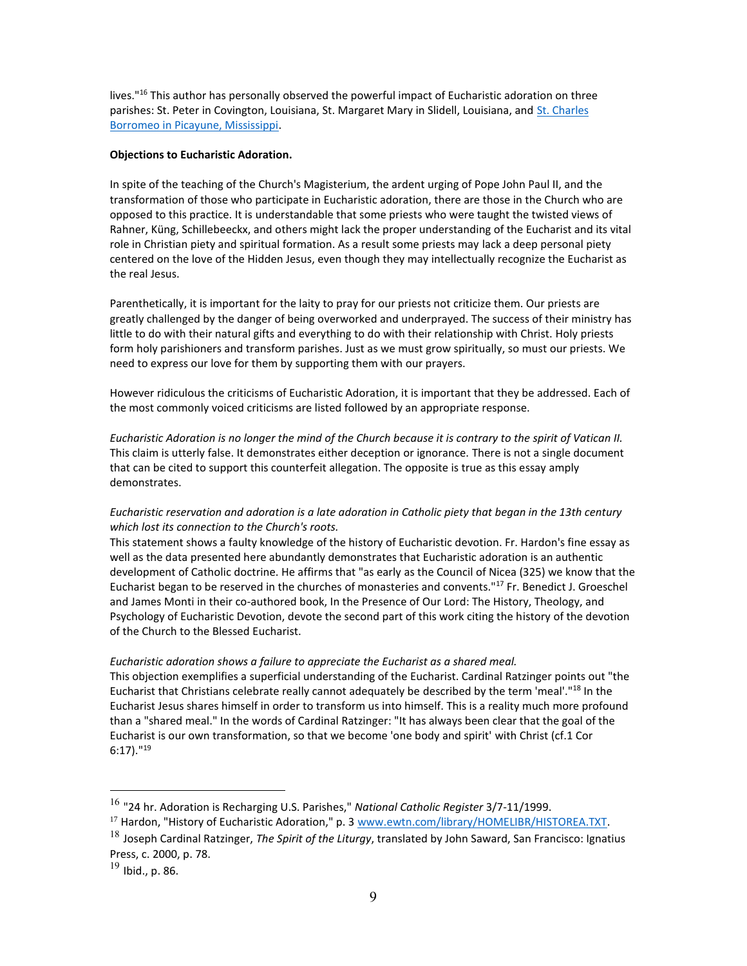lives."<sup>16</sup> This author has personally observed the powerful impact of Eucharistic adoration on three parishes: St. Peter in Covington, Louisiana, St. Margaret Mary in Slidell, Louisiana, and [St. Charles](http://www.scborromeo.org/)  [Borromeo in Picayune, Mississippi.](http://www.scborromeo.org/)

#### **Objections to Eucharistic Adoration.**

In spite of the teaching of the Church's Magisterium, the ardent urging of Pope John Paul II, and the transformation of those who participate in Eucharistic adoration, there are those in the Church who are opposed to this practice. It is understandable that some priests who were taught the twisted views of Rahner, Küng, Schillebeeckx, and others might lack the proper understanding of the Eucharist and its vital role in Christian piety and spiritual formation. As a result some priests may lack a deep personal piety centered on the love of the Hidden Jesus, even though they may intellectually recognize the Eucharist as the real Jesus.

Parenthetically, it is important for the laity to pray for our priests not criticize them. Our priests are greatly challenged by the danger of being overworked and underprayed. The success of their ministry has little to do with their natural gifts and everything to do with their relationship with Christ. Holy priests form holy parishioners and transform parishes. Just as we must grow spiritually, so must our priests. We need to express our love for them by supporting them with our prayers.

However ridiculous the criticisms of Eucharistic Adoration, it is important that they be addressed. Each of the most commonly voiced criticisms are listed followed by an appropriate response.

*Eucharistic Adoration is no longer the mind of the Church because it is contrary to the spirit of Vatican II.* This claim is utterly false. It demonstrates either deception or ignorance. There is not a single document that can be cited to support this counterfeit allegation. The opposite is true as this essay amply demonstrates.

*Eucharistic reservation and adoration is a late adoration in Catholic piety that began in the 13th century which lost its connection to the Church's roots.*

This statement shows a faulty knowledge of the history of Eucharistic devotion. Fr. Hardon's fine essay as well as the data presented here abundantly demonstrates that Eucharistic adoration is an authentic development of Catholic doctrine. He affirms that "as early as the Council of Nicea (325) we know that the Eucharist began to be reserved in the churches of monasteries and convents."<sup>17</sup> Fr. Benedict J. Groeschel and James Monti in their co-authored book, In the Presence of Our Lord: The History, Theology, and Psychology of Eucharistic Devotion, devote the second part of this work citing the history of the devotion of the Church to the Blessed Eucharist.

### *Eucharistic adoration shows a failure to appreciate the Eucharist as a shared meal.*

This objection exemplifies a superficial understanding of the Eucharist. Cardinal Ratzinger points out "the Eucharist that Christians celebrate really cannot adequately be described by the term 'meal'."<sup>18</sup> In the Eucharist Jesus shares himself in order to transform us into himself. This is a reality much more profound than a "shared meal." In the words of Cardinal Ratzinger: "It has always been clear that the goal of the Eucharist is our own transformation, so that we become 'one body and spirit' with Christ (cf.1 Cor 6:17)."<sup>19</sup>

<sup>16</sup> "24 hr. Adoration is Recharging U.S. Parishes," *National Catholic Register* 3/7-11/1999.

<sup>&</sup>lt;sup>17</sup> Hardon, "History of Eucharistic Adoration," p. 3 [www.ewtn.com/library/HOMELIBR/HISTOREA.TXT.](www.ewtn.com/library/HOMELIBR/HISTOREA.TXT)

<sup>18</sup> Joseph Cardinal Ratzinger, *The Spirit of the Liturgy*, translated by John Saward, San Francisco: Ignatius Press, c. 2000, p. 78.

 $19$  Ibid., p. 86.